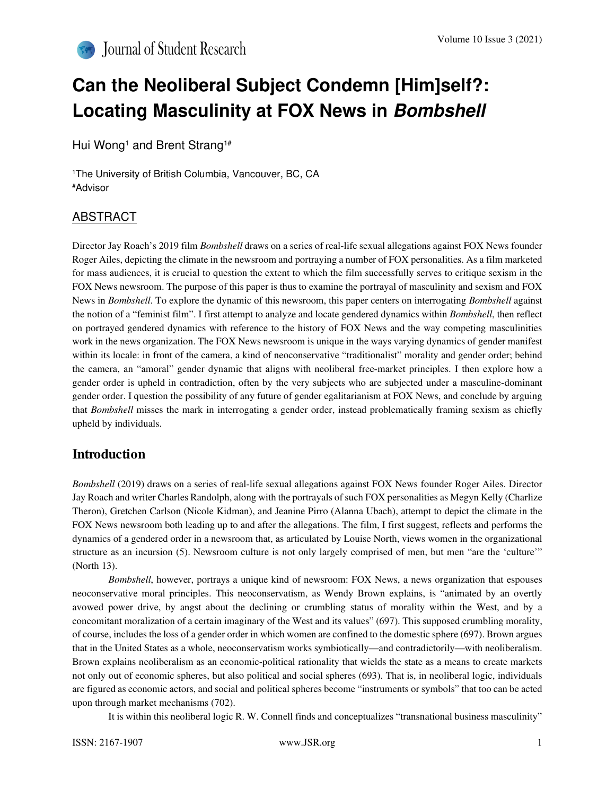

# Can the Neoliberal Subject Condemn [Him]self?: Locating Masculinity at FOX News in *Bombshell*

Hui Wong<sup>1</sup> and Brent Strang<sup>1#</sup>

1 The University of British Columbia, Vancouver, BC, CA # Advisor

### ABSTRACT

Director Jay Roach's 2019 film *Bombshell* draws on a series of real-life sexual allegations against FOX News founder Roger Ailes, depicting the climate in the newsroom and portraying a number of FOX personalities. As a film marketed for mass audiences, it is crucial to question the extent to which the film successfully serves to critique sexism in the FOX News newsroom. The purpose of this paper is thus to examine the portrayal of masculinity and sexism and FOX News in *Bombshell*. To explore the dynamic of this newsroom, this paper centers on interrogating *Bombshell* against the notion of a "feminist film". I first attempt to analyze and locate gendered dynamics within *Bombshell*, then reflect on portrayed gendered dynamics with reference to the history of FOX News and the way competing masculinities work in the news organization. The FOX News newsroom is unique in the ways varying dynamics of gender manifest within its locale: in front of the camera, a kind of neoconservative "traditionalist" morality and gender order; behind the camera, an "amoral" gender dynamic that aligns with neoliberal free-market principles. I then explore how a gender order is upheld in contradiction, often by the very subjects who are subjected under a masculine-dominant gender order. I question the possibility of any future of gender egalitarianism at FOX News, and conclude by arguing that *Bombshell* misses the mark in interrogating a gender order, instead problematically framing sexism as chiefly upheld by individuals. Volume 10 Issue 3 (2021)<br>
Can the Neoliberal Subject Condemn [Him ]self?:<br>
Can the Neoliberal Subject Condemn [Him ]self?:<br>
Locating Masculinity at FOX News in *Bombshell*<br>
Hot Word<br>
"Hot Word" and Been Strang<sup>19</sup><br>
"The U

#### Introduction

*Bombshell* (2019) draws on a series of real-life sexual allegations against FOX News founder Roger Ailes. Director Jay Roach and writer Charles Randolph, along with the portrayals of such FOX personalities as Megyn Kelly (Charlize Theron), Gretchen Carlson (Nicole Kidman), and Jeanine Pirro (Alanna Ubach), attempt to depict the climate in the FOX News newsroom both leading up to and after the allegations. The film, I first suggest, reflects and performs the dynamics of a gendered order in a newsroom that, as articulated by Louise North, views women in the organizational structure as an incursion (5). Newsroom culture is not only largely comprised of men, but men "are the 'culture'" (North 13).

*Bombshell*, however, portrays a unique kind of newsroom: FOX News, a news organization that espouses neoconservative moral principles. This neoconservatism, as Wendy Brown explains, is "animated by an overtly avowed power drive, by angst about the declining or crumbling status of morality within the West, and by a concomitant moralization of a certain imaginary of the West and its values" (697). This supposed crumbling morality, of course, includes the loss of a gender order in which women are confined to the domestic sphere (697). Brown argues that in the United States as a whole, neoconservatism works symbiotically—and contradictorily—with neoliberalism. Brown explains neoliberalism as an economic-political rationality that wields the state as a means to create markets not only out of economic spheres, but also political and social spheres (693). That is, in neoliberal logic, individuals are figured as economic actors, and social and political spheres become "instruments or symbols" that too can be acted upon through market mechanisms (702).

It is within this neoliberal logic R. W. Connell finds and conceptualizes "transnational business masculinity"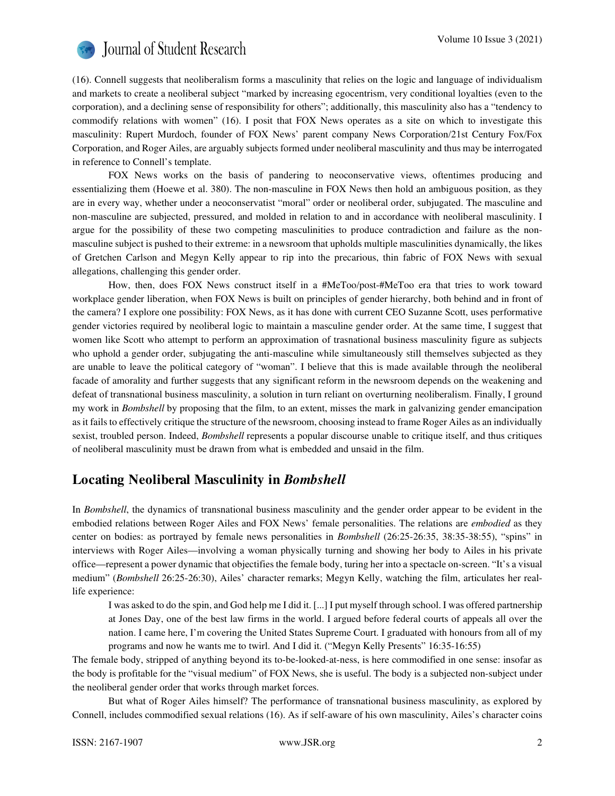(16). Connell suggests that neoliberalism forms a masculinity that relies on the logic and language of individualism and markets to create a neoliberal subject "marked by increasing egocentrism, very conditional loyalties (even to the corporation), and a declining sense of responsibility for others"; additionally, this masculinity also has a "tendency to commodify relations with women" (16). I posit that FOX News operates as a site on which to investigate this masculinity: Rupert Murdoch, founder of FOX News' parent company News Corporation/21st Century Fox/Fox Corporation, and Roger Ailes, are arguably subjects formed under neoliberal masculinity and thus may be interrogated in reference to Connell's template.

FOX News works on the basis of pandering to neoconservative views, oftentimes producing and essentializing them (Hoewe et al. 380). The non-masculine in FOX News then hold an ambiguous position, as they are in every way, whether under a neoconservatist "moral" order or neoliberal order, subjugated. The masculine and non-masculine are subjected, pressured, and molded in relation to and in accordance with neoliberal masculinity. I argue for the possibility of these two competing masculinities to produce contradiction and failure as the nonmasculine subject is pushed to their extreme: in a newsroom that upholds multiple masculinities dynamically, the likes of Gretchen Carlson and Megyn Kelly appear to rip into the precarious, thin fabric of FOX News with sexual allegations, challenging this gender order.

How, then, does FOX News construct itself in a #MeToo/post-#MeToo era that tries to work toward workplace gender liberation, when FOX News is built on principles of gender hierarchy, both behind and in front of the camera? I explore one possibility: FOX News, as it has done with current CEO Suzanne Scott, uses performative gender victories required by neoliberal logic to maintain a masculine gender order. At the same time, I suggest that women like Scott who attempt to perform an approximation of trasnational business masculinity figure as subjects who uphold a gender order, subjugating the anti-masculine while simultaneously still themselves subjected as they are unable to leave the political category of "woman". I believe that this is made available through the neoliberal facade of amorality and further suggests that any significant reform in the newsroom depends on the weakening and defeat of transnational business masculinity, a solution in turn reliant on overturning neoliberalism. Finally, I ground my work in *Bombshell* by proposing that the film, to an extent, misses the mark in galvanizing gender emancipation as it fails to effectively critique the structure of the newsroom, choosing instead to frame Roger Ailes as an individually sexist, troubled person. Indeed, *Bombshell* represents a popular discourse unable to critique itself, and thus critiques of neoliberal masculinity must be drawn from what is embedded and unsaid in the film. Volume 10 Issue 3 (2021)<br>Volume 10 Issue 3 (2021)<br>Volume 10 Issue 3 (2021)<br>Alexander and consideration form is a maximizar that exist so the lagion final mass of individual<br>information form interaction for a maximizar the

### Locating Neoliberal Masculinity in *Bombshell*

In *Bombshell*, the dynamics of transnational business masculinity and the gender order appear to be evident in the embodied relations between Roger Ailes and FOX News' female personalities. The relations are *embodied* as they center on bodies: as portrayed by female news personalities in *Bombshell* (26:25-26:35, 38:35-38:55), "spins" in interviews with Roger Ailes—involving a woman physically turning and showing her body to Ailes in his private office—represent a power dynamic that objectifies the female body, turing her into a spectacle on-screen. "It's a visual medium" (*Bombshell* 26:25-26:30), Ailes' character remarks; Megyn Kelly, watching the film, articulates her reallife experience:

I was asked to do the spin, and God help me I did it. [...] I put myself through school. I was offered partnership at Jones Day, one of the best law firms in the world. I argued before federal courts of appeals all over the nation. I came here, I'm covering the United States Supreme Court. I graduated with honours from all of my programs and now he wants me to twirl. And I did it. ("Megyn Kelly Presents" 16:35-16:55)

The female body, stripped of anything beyond its to-be-looked-at-ness, is here commodified in one sense: insofar as the body is profitable for the "visual medium" of FOX News, she is useful. The body is a subjected non-subject under the neoliberal gender order that works through market forces.

But what of Roger Ailes himself? The performance of transnational business masculinity, as explored by Connell, includes commodified sexual relations (16). As if self-aware of his own masculinity, Ailes's character coins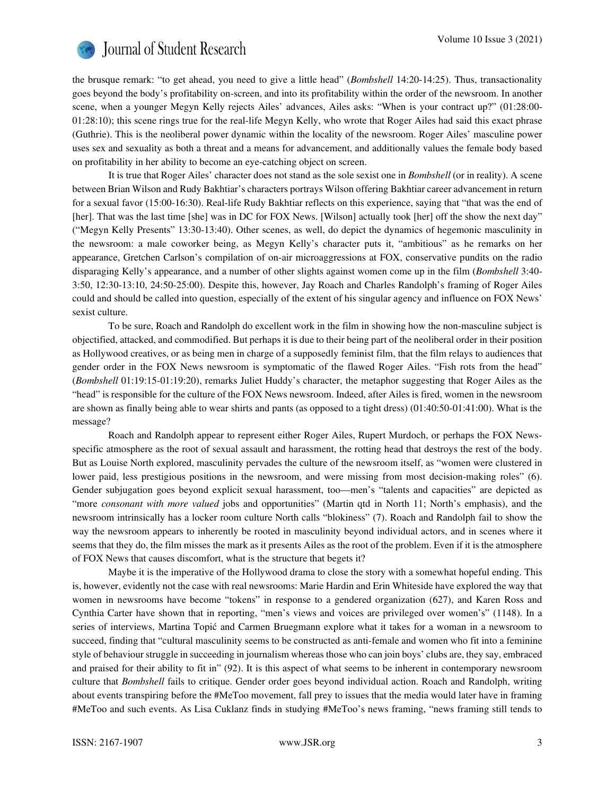the brusque remark: "to get ahead, you need to give a little head" (*Bombshell* 14:20-14:25). Thus, transactionality goes beyond the body's profitability on-screen, and into its profitability within the order of the newsroom. In another scene, when a younger Megyn Kelly rejects Ailes' advances, Ailes asks: "When is your contract up?" (01:28:00- 01:28:10); this scene rings true for the real-life Megyn Kelly, who wrote that Roger Ailes had said this exact phrase (Guthrie). This is the neoliberal power dynamic within the locality of the newsroom. Roger Ailes' masculine power uses sex and sexuality as both a threat and a means for advancement, and additionally values the female body based on profitability in her ability to become an eye-catching object on screen.

It is true that Roger Ailes' character does not stand as the sole sexist one in *Bombshell* (or in reality). A scene between Brian Wilson and Rudy Bakhtiar's characters portrays Wilson offering Bakhtiar career advancement in return for a sexual favor (15:00-16:30). Real-life Rudy Bakhtiar reflects on this experience, saying that "that was the end of [her]. That was the last time [she] was in DC for FOX News. [Wilson] actually took [her] off the show the next day" ("Megyn Kelly Presents" 13:30-13:40). Other scenes, as well, do depict the dynamics of hegemonic masculinity in the newsroom: a male coworker being, as Megyn Kelly's character puts it, "ambitious" as he remarks on her appearance, Gretchen Carlson's compilation of on-air microaggressions at FOX, conservative pundits on the radio disparaging Kelly's appearance, and a number of other slights against women come up in the film (*Bombshell* 3:40- 3:50, 12:30-13:10, 24:50-25:00). Despite this, however, Jay Roach and Charles Randolph's framing of Roger Ailes could and should be called into question, especially of the extent of his singular agency and influence on FOX News' sexist culture. Volume 10 Issue 3 (2021)<br>Volume 10 Issue 3 (2021)<br>Volume 10 Issue 3 (2021)<br>And the base of the state of the state of the state filled with the state of the state of the state of the state of the state of the state of the

To be sure, Roach and Randolph do excellent work in the film in showing how the non-masculine subject is objectified, attacked, and commodified. But perhaps it is due to their being part of the neoliberal order in their position as Hollywood creatives, or as being men in charge of a supposedly feminist film, that the film relays to audiences that gender order in the FOX News newsroom is symptomatic of the flawed Roger Ailes. "Fish rots from the head" (*Bombshell* 01:19:15-01:19:20), remarks Juliet Huddy's character, the metaphor suggesting that Roger Ailes as the "head" is responsible for the culture of the FOX News newsroom. Indeed, after Ailes is fired, women in the newsroom are shown as finally being able to wear shirts and pants (as opposed to a tight dress) (01:40:50-01:41:00). What is the message?

Roach and Randolph appear to represent either Roger Ailes, Rupert Murdoch, or perhaps the FOX Newsspecific atmosphere as the root of sexual assault and harassment, the rotting head that destroys the rest of the body. But as Louise North explored, masculinity pervades the culture of the newsroom itself, as "women were clustered in lower paid, less prestigious positions in the newsroom, and were missing from most decision-making roles" (6). Gender subjugation goes beyond explicit sexual harassment, too—men's "talents and capacities" are depicted as "more *consonant with more valued* jobs and opportunities" (Martin qtd in North 11; North's emphasis), and the newsroom intrinsically has a locker room culture North calls "blokiness" (7). Roach and Randolph fail to show the way the newsroom appears to inherently be rooted in masculinity beyond individual actors, and in scenes where it seems that they do, the film misses the mark as it presents Ailes as the root of the problem. Even if it is the atmosphere of FOX News that causes discomfort, what is the structure that begets it?

Maybe it is the imperative of the Hollywood drama to close the story with a somewhat hopeful ending. This is, however, evidently not the case with real newsrooms: Marie Hardin and Erin Whiteside have explored the way that women in newsrooms have become "tokens" in response to a gendered organization (627), and Karen Ross and Cynthia Carter have shown that in reporting, "men's views and voices are privileged over women's" (1148). In a series of interviews, Martina Topić and Carmen Bruegmann explore what it takes for a woman in a newsroom to succeed, finding that "cultural masculinity seems to be constructed as anti-female and women who fit into a feminine style of behaviour struggle in succeeding in journalism whereas those who can join boys' clubs are, they say, embraced and praised for their ability to fit in" (92). It is this aspect of what seems to be inherent in contemporary newsroom culture that *Bombshell* fails to critique. Gender order goes beyond individual action. Roach and Randolph, writing about events transpiring before the #MeToo movement, fall prey to issues that the media would later have in framing #MeToo and such events. As Lisa Cuklanz finds in studying #MeToo's news framing, "news framing still tends to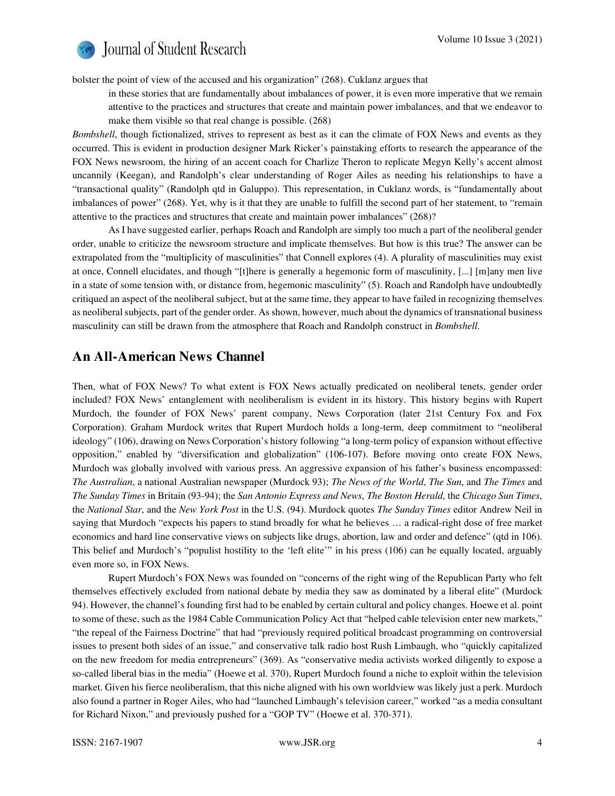bolster the point of view of the accused and his organization" (268). Cuklanz argues that

in these stories that are fundamentally about imbalances of power, it is even more imperative that we remain attentive to the practices and structures that create and maintain power imbalances, and that we endeavor to make them visible so that real change is possible. (268)

*Bombshell*, though fictionalized, strives to represent as best as it can the climate of FOX News and events as they occurred. This is evident in production designer Mark Ricker's painstaking efforts to research the appearance of the FOX News newsroom, the hiring of an accent coach for Charlize Theron to replicate Megyn Kelly's accent almost uncannily (Keegan), and Randolph's clear understanding of Roger Ailes as needing his relationships to have a "transactional quality" (Randolph qtd in Galuppo). This representation, in Cuklanz words, is "fundamentally about imbalances of power" (268). Yet, why is it that they are unable to fulfill the second part of her statement, to "remain attentive to the practices and structures that create and maintain power imbalances" (268)?

As I have suggested earlier, perhaps Roach and Randolph are simply too much a part of the neoliberal gender order, unable to criticize the newsroom structure and implicate themselves. But how is this true? The answer can be extrapolated from the "multiplicity of masculinities" that Connell explores (4). A plurality of masculinities may exist at once, Connell elucidates, and though "[t]here is generally a hegemonic form of masculinity, [...] [m]any men live in a state of some tension with, or distance from, hegemonic masculinity" (5). Roach and Randolph have undoubtedly critiqued an aspect of the neoliberal subject, but at the same time, they appear to have failed in recognizing themselves as neoliberal subjects, part of the gender order. As shown, however, much about the dynamics of transnational business masculinity can still be drawn from the atmosphere that Roach and Randolph construct in *Bombshell*.

#### An All-American News Channel

Then, what of FOX News? To what extent is FOX News actually predicated on neoliberal tenets, gender order included? FOX News' entanglement with neoliberalism is evident in its history. This history begins with Rupert Murdoch, the founder of FOX News' parent company, News Corporation (later 21st Century Fox and Fox Corporation). Graham Murdock writes that Rupert Murdoch holds a long-term, deep commitment to "neoliberal ideology" (106), drawing on News Corporation's history following "a long-term policy of expansion without effective opposition," enabled by "diversification and globalization" (106-107). Before moving onto create FOX News, Murdoch was globally involved with various press. An aggressive expansion of his father's business encompassed: *The Australian*, a national Australian newspaper (Murdock 93); *The News of the World*, *The Sun*, and *The Times* and *The Sunday Times* in Britain (93-94); the *San Antonio Express and News*, *The Boston Herald*, the *Chicago Sun Times*, the *National Star*, and the *New York Post* in the U.S. (94). Murdock quotes *The Sunday Times* editor Andrew Neil in saying that Murdoch "expects his papers to stand broadly for what he believes … a radical-right dose of free market economics and hard line conservative views on subjects like drugs, abortion, law and order and defence" (qtd in 106). This belief and Murdoch's "populist hostility to the 'left elite'" in his press (106) can be equally located, arguably even more so, in FOX News. Volume 10 Issue 3 (2021)<br>Volume 10 Issue 3 (2021)<br>Volume 10 Issue 3 (2021)<br>Solitic in points of the consistential organization" (2064). Caking agents that we remain the consistential organization of the consistential orga

Rupert Murdoch's FOX News was founded on "concerns of the right wing of the Republican Party who felt themselves effectively excluded from national debate by media they saw as dominated by a liberal elite" (Murdock 94). However, the channel's founding first had to be enabled by certain cultural and policy changes. Hoewe et al. point to some of these, such as the 1984 Cable Communication Policy Act that "helped cable television enter new markets," "the repeal of the Fairness Doctrine" that had "previously required political broadcast programming on controversial issues to present both sides of an issue," and conservative talk radio host Rush Limbaugh, who "quickly capitalized on the new freedom for media entrepreneurs" (369). As "conservative media activists worked diligently to expose a so-called liberal bias in the media" (Hoewe et al. 370), Rupert Murdoch found a niche to exploit within the television market. Given his fierce neoliberalism, that this niche aligned with his own worldview was likely just a perk. Murdoch also found a partner in Roger Ailes, who had "launched Limbaugh's television career," worked "as a media consultant for Richard Nixon," and previously pushed for a "GOP TV" (Hoewe et al. 370-371).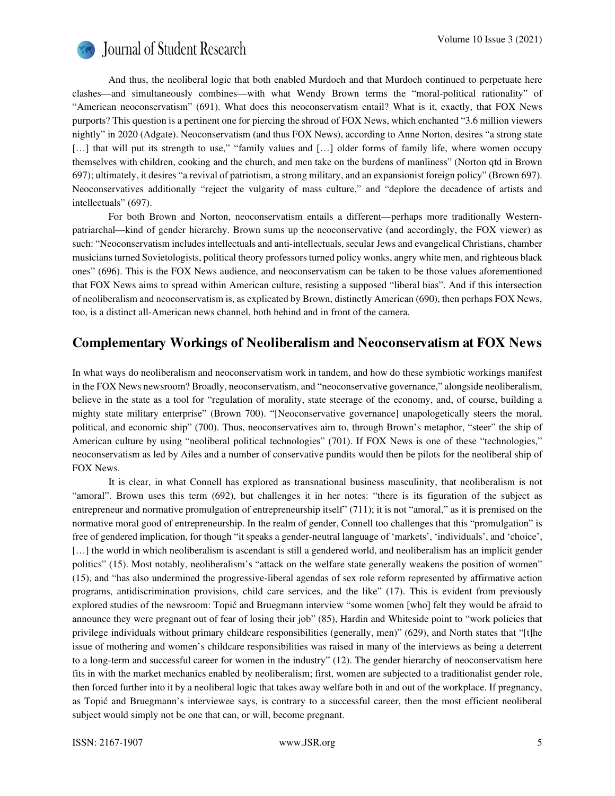And thus, the neoliberal logic that both enabled Murdoch and that Murdoch continued to perpetuate here clashes—and simultaneously combines—with what Wendy Brown terms the "moral-political rationality" of "American neoconservatism" (691). What does this neoconservatism entail? What is it, exactly, that FOX News purports? This question is a pertinent one for piercing the shroud of FOX News, which enchanted "3.6 million viewers nightly" in 2020 (Adgate). Neoconservatism (and thus FOX News), according to Anne Norton, desires "a strong state [...] that will put its strength to use," "family values and [...] older forms of family life, where women occupy themselves with children, cooking and the church, and men take on the burdens of manliness" (Norton qtd in Brown 697); ultimately, it desires "a revival of patriotism, a strong military, and an expansionist foreign policy" (Brown 697). Neoconservatives additionally "reject the vulgarity of mass culture," and "deplore the decadence of artists and intellectuals" (697).

For both Brown and Norton, neoconservatism entails a different—perhaps more traditionally Westernpatriarchal—kind of gender hierarchy. Brown sums up the neoconservative (and accordingly, the FOX viewer) as such: "Neoconservatism includes intellectuals and anti-intellectuals, secular Jews and evangelical Christians, chamber musicians turned Sovietologists, political theory professors turned policy wonks, angry white men, and righteous black ones" (696). This is the FOX News audience, and neoconservatism can be taken to be those values aforementioned that FOX News aims to spread within American culture, resisting a supposed "liberal bias". And if this intersection of neoliberalism and neoconservatism is, as explicated by Brown, distinctly American (690), then perhaps FOX News, too, is a distinct all-American news channel, both behind and in front of the camera.

#### Complementary Workings of Neoliberalism and Neoconservatism at FOX News

In what ways do neoliberalism and neoconservatism work in tandem, and how do these symbiotic workings manifest in the FOX News newsroom? Broadly, neoconservatism, and "neoconservative governance," alongside neoliberalism, believe in the state as a tool for "regulation of morality, state steerage of the economy, and, of course, building a mighty state military enterprise" (Brown 700). "[Neoconservative governance] unapologetically steers the moral, political, and economic ship" (700). Thus, neoconservatives aim to, through Brown's metaphor, "steer" the ship of American culture by using "neoliberal political technologies" (701). If FOX News is one of these "technologies," neoconservatism as led by Ailes and a number of conservative pundits would then be pilots for the neoliberal ship of FOX News.

It is clear, in what Connell has explored as transnational business masculinity, that neoliberalism is not "amoral". Brown uses this term (692), but challenges it in her notes: "there is its figuration of the subject as entrepreneur and normative promulgation of entrepreneurship itself" (711); it is not "amoral," as it is premised on the normative moral good of entrepreneurship. In the realm of gender, Connell too challenges that this "promulgation" is free of gendered implication, for though "it speaks a gender-neutral language of 'markets', 'individuals', and 'choice', [...] the world in which neoliberalism is ascendant is still a gendered world, and neoliberalism has an implicit gender politics" (15). Most notably, neoliberalism's "attack on the welfare state generally weakens the position of women" (15), and "has also undermined the progressive-liberal agendas of sex role reform represented by affirmative action programs, antidiscrimination provisions, child care services, and the like" (17). This is evident from previously explored studies of the newsroom: Topić and Bruegmann interview "some women [who] felt they would be afraid to announce they were pregnant out of fear of losing their job" (85), Hardin and Whiteside point to "work policies that privilege individuals without primary childcare responsibilities (generally, men)" (629), and North states that "[t]he issue of mothering and women's childcare responsibilities was raised in many of the interviews as being a deterrent to a long-term and successful career for women in the industry" (12). The gender hierarchy of neoconservatism here fits in with the market mechanics enabled by neoliberalism; first, women are subjected to a traditionalist gender role, then forced further into it by a neoliberal logic that takes away welfare both in and out of the workplace. If pregnancy, as Topić and Bruegmann's interviewee says, is contrary to a successful career, then the most efficient neoliberal subject would simply not be one that can, or will, become pregnant. Volume 10 Issue 3 (2021)<br>
Norma di Schular, Research issue a total catatotic function and tank shared consistency into the state and tank shared and tank shared and tank shared and tank shared and tank shared and tank sha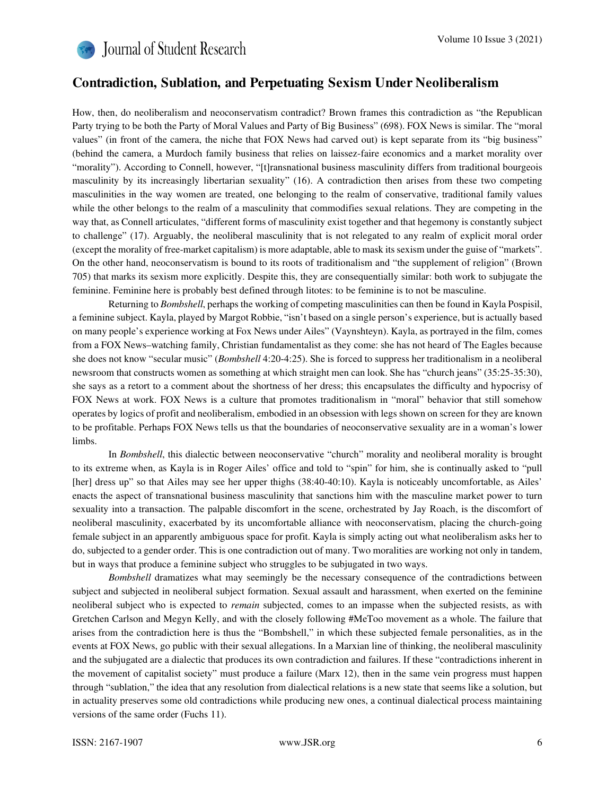

### Contradiction, Sublation, and Perpetuating Sexism Under Neoliberalism

How, then, do neoliberalism and neoconservatism contradict? Brown frames this contradiction as "the Republican Party trying to be both the Party of Moral Values and Party of Big Business" (698). FOX News is similar. The "moral values" (in front of the camera, the niche that FOX News had carved out) is kept separate from its "big business" (behind the camera, a Murdoch family business that relies on laissez-faire economics and a market morality over "morality"). According to Connell, however, "[t]ransnational business masculinity differs from traditional bourgeois masculinity by its increasingly libertarian sexuality" (16). A contradiction then arises from these two competing masculinities in the way women are treated, one belonging to the realm of conservative, traditional family values while the other belongs to the realm of a masculinity that commodifies sexual relations. They are competing in the way that, as Connell articulates, "different forms of masculinity exist together and that hegemony is constantly subject to challenge" (17). Arguably, the neoliberal masculinity that is not relegated to any realm of explicit moral order (except the morality of free-market capitalism) is more adaptable, able to mask its sexism under the guise of "markets". On the other hand, neoconservatism is bound to its roots of traditionalism and "the supplement of religion" (Brown 705) that marks its sexism more explicitly. Despite this, they are consequentially similar: both work to subjugate the feminine. Feminine here is probably best defined through litotes: to be feminine is to not be masculine. Volume 10 Issue 3 (2021)<br>Contradiction, Subhation, and Perpetuating Sexism Under Neofiheralism<br>
For the developmental consequences are also the developmental consequence in<br>the case of the consequence are the system of th

Returning to *Bombshell*, perhaps the working of competing masculinities can then be found in Kayla Pospisil, a feminine subject. Kayla, played by Margot Robbie, "isn't based on a single person's experience, but is actually based on many people's experience working at Fox News under Ailes" (Vaynshteyn). Kayla, as portrayed in the film, comes from a FOX News–watching family, Christian fundamentalist as they come: she has not heard of The Eagles because she does not know "secular music" (*Bombshell* 4:20-4:25). She is forced to suppress her traditionalism in a neoliberal newsroom that constructs women as something at which straight men can look. She has "church jeans" (35:25-35:30), she says as a retort to a comment about the shortness of her dress; this encapsulates the difficulty and hypocrisy of FOX News at work. FOX News is a culture that promotes traditionalism in "moral" behavior that still somehow operates by logics of profit and neoliberalism, embodied in an obsession with legs shown on screen for they are known to be profitable. Perhaps FOX News tells us that the boundaries of neoconservative sexuality are in a woman's lower limbs.

In *Bombshell*, this dialectic between neoconservative "church" morality and neoliberal morality is brought to its extreme when, as Kayla is in Roger Ailes' office and told to "spin" for him, she is continually asked to "pull [her] dress up" so that Ailes may see her upper thighs (38:40-40:10). Kayla is noticeably uncomfortable, as Ailes' enacts the aspect of transnational business masculinity that sanctions him with the masculine market power to turn sexuality into a transaction. The palpable discomfort in the scene, orchestrated by Jay Roach, is the discomfort of neoliberal masculinity, exacerbated by its uncomfortable alliance with neoconservatism, placing the church-going female subject in an apparently ambiguous space for profit. Kayla is simply acting out what neoliberalism asks her to do, subjected to a gender order. This is one contradiction out of many. Two moralities are working not only in tandem, but in ways that produce a feminine subject who struggles to be subjugated in two ways.

*Bombshell* dramatizes what may seemingly be the necessary consequence of the contradictions between subject and subjected in neoliberal subject formation. Sexual assault and harassment, when exerted on the feminine neoliberal subject who is expected to *remain* subjected, comes to an impasse when the subjected resists, as with Gretchen Carlson and Megyn Kelly, and with the closely following #MeToo movement as a whole. The failure that arises from the contradiction here is thus the "Bombshell," in which these subjected female personalities, as in the events at FOX News, go public with their sexual allegations. In a Marxian line of thinking, the neoliberal masculinity and the subjugated are a dialectic that produces its own contradiction and failures. If these "contradictions inherent in the movement of capitalist society" must produce a failure (Marx 12), then in the same vein progress must happen through "sublation," the idea that any resolution from dialectical relations is a new state that seems like a solution, but in actuality preserves some old contradictions while producing new ones, a continual dialectical process maintaining versions of the same order (Fuchs 11).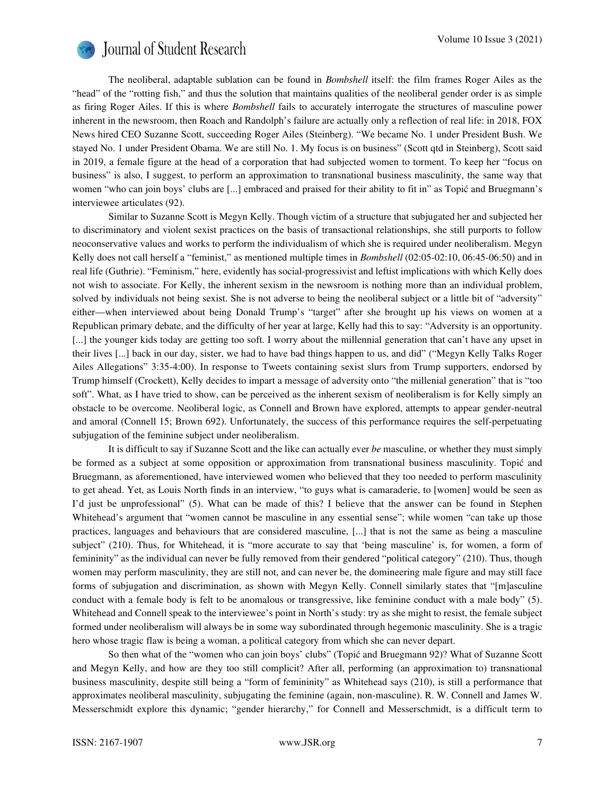The neoliberal, adaptable sublation can be found in *Bombshell* itself: the film frames Roger Ailes as the "head" of the "rotting fish," and thus the solution that maintains qualities of the neoliberal gender order is as simple as firing Roger Ailes. If this is where *Bombshell* fails to accurately interrogate the structures of masculine power inherent in the newsroom, then Roach and Randolph's failure are actually only a reflection of real life: in 2018, FOX News hired CEO Suzanne Scott, succeeding Roger Ailes (Steinberg). "We became No. 1 under President Bush. We stayed No. 1 under President Obama. We are still No. 1. My focus is on business" (Scott qtd in Steinberg), Scott said in 2019, a female figure at the head of a corporation that had subjected women to torment. To keep her "focus on business" is also, I suggest, to perform an approximation to transnational business masculinity, the same way that women "who can join boys' clubs are [...] embraced and praised for their ability to fit in" as Topić and Bruegmann's interviewee articulates (92).

Similar to Suzanne Scott is Megyn Kelly. Though victim of a structure that subjugated her and subjected her to discriminatory and violent sexist practices on the basis of transactional relationships, she still purports to follow neoconservative values and works to perform the individualism of which she is required under neoliberalism. Megyn Kelly does not call herself a "feminist," as mentioned multiple times in *Bombshell* (02:05-02:10, 06:45-06:50) and in real life (Guthrie). "Feminism," here, evidently has social-progressivist and leftist implications with which Kelly does not wish to associate. For Kelly, the inherent sexism in the newsroom is nothing more than an individual problem, solved by individuals not being sexist. She is not adverse to being the neoliberal subject or a little bit of "adversity" either—when interviewed about being Donald Trump's "target" after she brought up his views on women at a Republican primary debate, and the difficulty of her year at large, Kelly had this to say: "Adversity is an opportunity. [...] the younger kids today are getting too soft. I worry about the millennial generation that can't have any upset in their lives [...] back in our day, sister, we had to have bad things happen to us, and did" ("Megyn Kelly Talks Roger Ailes Allegations" 3:35-4:00). In response to Tweets containing sexist slurs from Trump supporters, endorsed by Trump himself (Crockett), Kelly decides to impart a message of adversity onto "the millenial generation" that is "too soft". What, as I have tried to show, can be perceived as the inherent sexism of neoliberalism is for Kelly simply an obstacle to be overcome. Neoliberal logic, as Connell and Brown have explored, attempts to appear gender-neutral and amoral (Connell 15; Brown 692). Unfortunately, the success of this performance requires the self-perpetuating subjugation of the feminine subject under neoliberalism. Volume 10 Issue 3 (2021)<br>Volume 10 Issue 3 (2021)<br>Norma Costa Automatics contrast and to found an *Bondards* 2 include the stan Automatic Material Bondards and the stan Automatics of the stan Automatics of the stan Automa

It is difficult to say if Suzanne Scott and the like can actually ever *be* masculine, or whether they must simply be formed as a subject at some opposition or approximation from transnational business masculinity. Topić and Bruegmann, as aforementioned, have interviewed women who believed that they too needed to perform masculinity to get ahead. Yet, as Louis North finds in an interview, "to guys what is camaraderie, to [women] would be seen as I'd just be unprofessional" (5). What can be made of this? I believe that the answer can be found in Stephen Whitehead's argument that "women cannot be masculine in any essential sense"; while women "can take up those practices, languages and behaviours that are considered masculine, [...] that is not the same as being a masculine subject" (210). Thus, for Whitehead, it is "more accurate to say that 'being masculine' is, for women, a form of femininity" as the individual can never be fully removed from their gendered "political category" (210). Thus, though women may perform masculinity, they are still not, and can never be, the domineering male figure and may still face forms of subjugation and discrimination, as shown with Megyn Kelly. Connell similarly states that "[m]asculine conduct with a female body is felt to be anomalous or transgressive, like feminine conduct with a male body" (5). Whitehead and Connell speak to the interviewee's point in North's study: try as she might to resist, the female subject formed under neoliberalism will always be in some way subordinated through hegemonic masculinity. She is a tragic hero whose tragic flaw is being a woman, a political category from which she can never depart.

So then what of the "women who can join boys' clubs" (Topić and Bruegmann 92)? What of Suzanne Scott and Megyn Kelly, and how are they too still complicit? After all, performing (an approximation to) transnational business masculinity, despite still being a "form of femininity" as Whitehead says (210), is still a performance that approximates neoliberal masculinity, subjugating the feminine (again, non-masculine). R. W. Connell and James W. Messerschmidt explore this dynamic; "gender hierarchy," for Connell and Messerschmidt, is a difficult term to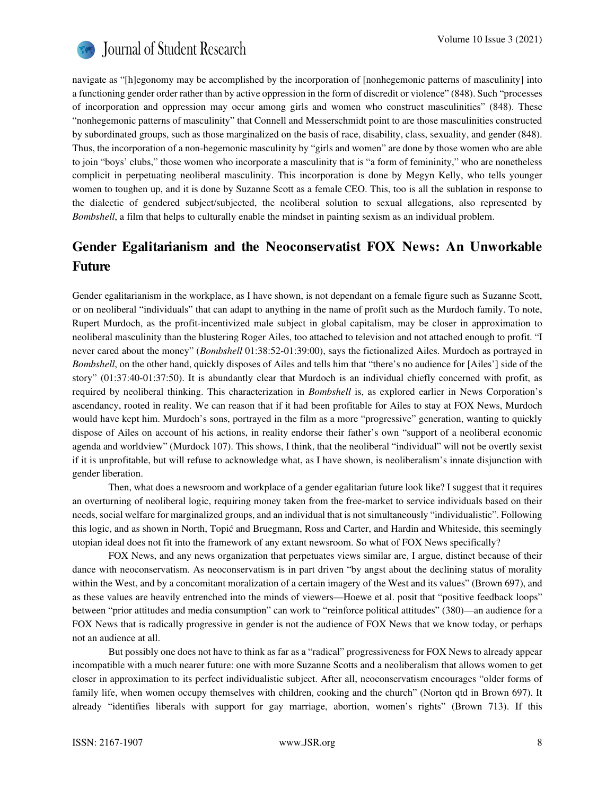

navigate as "[h]egonomy may be accomplished by the incorporation of [nonhegemonic patterns of masculinity] into a functioning gender order rather than by active oppression in the form of discredit or violence" (848). Such "processes of incorporation and oppression may occur among girls and women who construct masculinities" (848). These "nonhegemonic patterns of masculinity" that Connell and Messerschmidt point to are those masculinities constructed by subordinated groups, such as those marginalized on the basis of race, disability, class, sexuality, and gender (848). Thus, the incorporation of a non-hegemonic masculinity by "girls and women" are done by those women who are able to join "boys' clubs," those women who incorporate a masculinity that is "a form of femininity," who are nonetheless complicit in perpetuating neoliberal masculinity. This incorporation is done by Megyn Kelly, who tells younger women to toughen up, and it is done by Suzanne Scott as a female CEO. This, too is all the sublation in response to the dialectic of gendered subject/subjected, the neoliberal solution to sexual allegations, also represented by *Bombshell*, a film that helps to culturally enable the mindset in painting sexism as an individual problem.

## Gender Egalitarianism and the Neoconservatist FOX News: An Unworkable Future

Gender egalitarianism in the workplace, as I have shown, is not dependant on a female figure such as Suzanne Scott, or on neoliberal "individuals" that can adapt to anything in the name of profit such as the Murdoch family. To note, Rupert Murdoch, as the profit-incentivized male subject in global capitalism, may be closer in approximation to neoliberal masculinity than the blustering Roger Ailes, too attached to television and not attached enough to profit. "I never cared about the money" (*Bombshell* 01:38:52-01:39:00), says the fictionalized Ailes. Murdoch as portrayed in *Bombshell*, on the other hand, quickly disposes of Ailes and tells him that "there's no audience for [Ailes'] side of the story" (01:37:40-01:37:50). It is abundantly clear that Murdoch is an individual chiefly concerned with profit, as required by neoliberal thinking. This characterization in *Bombshell* is, as explored earlier in News Corporation's ascendancy, rooted in reality. We can reason that if it had been profitable for Ailes to stay at FOX News, Murdoch would have kept him. Murdoch's sons, portrayed in the film as a more "progressive" generation, wanting to quickly dispose of Ailes on account of his actions, in reality endorse their father's own "support of a neoliberal economic agenda and worldview" (Murdock 107). This shows, I think, that the neoliberal "individual" will not be overtly sexist if it is unprofitable, but will refuse to acknowledge what, as I have shown, is neoliberalism's innate disjunction with gender liberation. Volume 10 Issue 3 (2021)<br>
Volume 10 Issue 3 (2021)<br>
Volume 10 Issue 3 (2021)<br>
Norman and the accomplastic by the incorporation of (and<br>recomplex method) into the method in the state space size of the control into the<br>stat

Then, what does a newsroom and workplace of a gender egalitarian future look like? I suggest that it requires an overturning of neoliberal logic, requiring money taken from the free-market to service individuals based on their needs, social welfare for marginalized groups, and an individual that is not simultaneously "individualistic". Following this logic, and as shown in North, Topić and Bruegmann, Ross and Carter, and Hardin and Whiteside, this seemingly utopian ideal does not fit into the framework of any extant newsroom. So what of FOX News specifically?

FOX News, and any news organization that perpetuates views similar are, I argue, distinct because of their dance with neoconservatism. As neoconservatism is in part driven "by angst about the declining status of morality within the West, and by a concomitant moralization of a certain imagery of the West and its values" (Brown 697), and as these values are heavily entrenched into the minds of viewers—Hoewe et al. posit that "positive feedback loops" between "prior attitudes and media consumption" can work to "reinforce political attitudes" (380)—an audience for a FOX News that is radically progressive in gender is not the audience of FOX News that we know today, or perhaps not an audience at all.

But possibly one does not have to think as far as a "radical" progressiveness for FOX News to already appear incompatible with a much nearer future: one with more Suzanne Scotts and a neoliberalism that allows women to get closer in approximation to its perfect individualistic subject. After all, neoconservatism encourages "older forms of family life, when women occupy themselves with children, cooking and the church" (Norton qtd in Brown 697). It already "identifies liberals with support for gay marriage, abortion, women's rights" (Brown 713). If this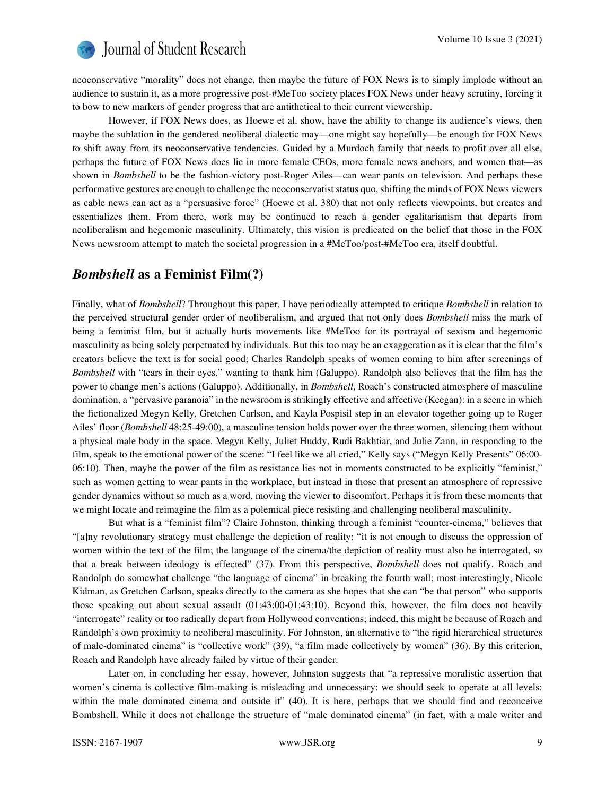neoconservative "morality" does not change, then maybe the future of FOX News is to simply implode without an audience to sustain it, as a more progressive post-#MeToo society places FOX News under heavy scrutiny, forcing it to bow to new markers of gender progress that are antithetical to their current viewership.

However, if FOX News does, as Hoewe et al. show, have the ability to change its audience's views, then maybe the sublation in the gendered neoliberal dialectic may—one might say hopefully—be enough for FOX News to shift away from its neoconservative tendencies. Guided by a Murdoch family that needs to profit over all else, perhaps the future of FOX News does lie in more female CEOs, more female news anchors, and women that—as shown in *Bombshell* to be the fashion-victory post-Roger Ailes—can wear pants on television. And perhaps these performative gestures are enough to challenge the neoconservatist status quo, shifting the minds of FOX News viewers as cable news can act as a "persuasive force" (Hoewe et al. 380) that not only reflects viewpoints, but creates and essentializes them. From there, work may be continued to reach a gender egalitarianism that departs from neoliberalism and hegemonic masculinity. Ultimately, this vision is predicated on the belief that those in the FOX News newsroom attempt to match the societal progression in a #MeToo/post-#MeToo era, itself doubtful.

#### *Bombshell* as a Feminist Film(?)

Finally, what of *Bombshell*? Throughout this paper, I have periodically attempted to critique *Bombshell* in relation to the perceived structural gender order of neoliberalism, and argued that not only does *Bombshell* miss the mark of being a feminist film, but it actually hurts movements like #MeToo for its portrayal of sexism and hegemonic masculinity as being solely perpetuated by individuals. But this too may be an exaggeration as it is clear that the film's creators believe the text is for social good; Charles Randolph speaks of women coming to him after screenings of *Bombshell* with "tears in their eyes," wanting to thank him (Galuppo). Randolph also believes that the film has the power to change men's actions (Galuppo). Additionally, in *Bombshell*, Roach's constructed atmosphere of masculine domination, a "pervasive paranoia" in the newsroom is strikingly effective and affective (Keegan): in a scene in which the fictionalized Megyn Kelly, Gretchen Carlson, and Kayla Pospisil step in an elevator together going up to Roger Ailes' floor (*Bombshell* 48:25-49:00), a masculine tension holds power over the three women, silencing them without a physical male body in the space. Megyn Kelly, Juliet Huddy, Rudi Bakhtiar, and Julie Zann, in responding to the film, speak to the emotional power of the scene: "I feel like we all cried," Kelly says ("Megyn Kelly Presents" 06:00- 06:10). Then, maybe the power of the film as resistance lies not in moments constructed to be explicitly "feminist," such as women getting to wear pants in the workplace, but instead in those that present an atmosphere of repressive gender dynamics without so much as a word, moving the viewer to discomfort. Perhaps it is from these moments that we might locate and reimagine the film as a polemical piece resisting and challenging neoliberal masculinity. Volume 10 Issue 3 (2021)<br>Volume 10 Issue 3 (2021)<br>Norma 10 Issue 3 (2021)<br>Anomorower "monotogenece" contents of the state of FDX News an adopt supplied visitoot an<br>anomorower "monotogenece" contents of the state of FDX Ne

But what is a "feminist film"? Claire Johnston, thinking through a feminist "counter-cinema," believes that "[a]ny revolutionary strategy must challenge the depiction of reality; "it is not enough to discuss the oppression of women within the text of the film; the language of the cinema/the depiction of reality must also be interrogated, so that a break between ideology is effected" (37). From this perspective, *Bombshell* does not qualify. Roach and Randolph do somewhat challenge "the language of cinema" in breaking the fourth wall; most interestingly, Nicole Kidman, as Gretchen Carlson, speaks directly to the camera as she hopes that she can "be that person" who supports those speaking out about sexual assault (01:43:00-01:43:10). Beyond this, however, the film does not heavily "interrogate" reality or too radically depart from Hollywood conventions; indeed, this might be because of Roach and Randolph's own proximity to neoliberal masculinity. For Johnston, an alternative to "the rigid hierarchical structures of male-dominated cinema" is "collective work" (39), "a film made collectively by women" (36). By this criterion, Roach and Randolph have already failed by virtue of their gender.

Later on, in concluding her essay, however, Johnston suggests that "a repressive moralistic assertion that women's cinema is collective film-making is misleading and unnecessary: we should seek to operate at all levels: within the male dominated cinema and outside it" (40). It is here, perhaps that we should find and reconceive Bombshell. While it does not challenge the structure of "male dominated cinema" (in fact, with a male writer and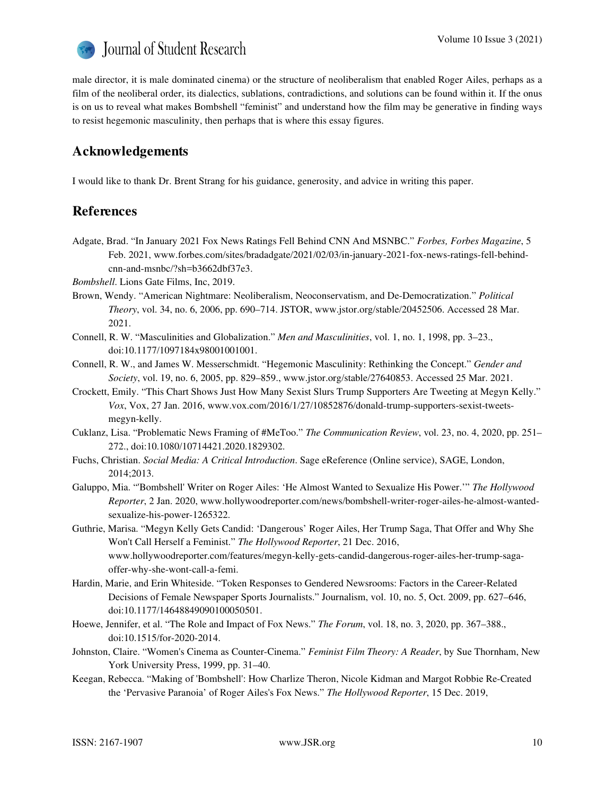

male director, it is male dominated cinema) or the structure of neoliberalism that enabled Roger Ailes, perhaps as a film of the neoliberal order, its dialectics, sublations, contradictions, and solutions can be found within it. If the onus is on us to reveal what makes Bombshell "feminist" and understand how the film may be generative in finding ways to resist hegemonic masculinity, then perhaps that is where this essay figures. Volume 10 Issue 3 (2021)<br>
Volume 10 Issue 3 (2021)<br>
Volume 10 Issue 3 (2021)<br>
Information contents and contents and contents and contents and contents and and contents and and contents and contents and contents and conten

### Acknowledgements

I would like to thank Dr. Brent Strang for his guidance, generosity, and advice in writing this paper.

### References

Adgate, Brad. "In January 2021 Fox News Ratings Fell Behind CNN And MSNBC." *Forbes, Forbes Magazine*, 5 Feb. 2021, www.forbes.com/sites/bradadgate/2021/02/03/in-january-2021-fox-news-ratings-fell-behindcnn-and-msnbc/?sh=b3662dbf37e3.

*Bombshell*. Lions Gate Films, Inc, 2019.

- Brown, Wendy. "American Nightmare: Neoliberalism, Neoconservatism, and De-Democratization." *Political Theory*, vol. 34, no. 6, 2006, pp. 690–714. JSTOR, www.jstor.org/stable/20452506. Accessed 28 Mar. 2021.
- Connell, R. W. "Masculinities and Globalization." *Men and Masculinities*, vol. 1, no. 1, 1998, pp. 3–23., doi:10.1177/1097184x98001001001.
- Connell, R. W., and James W. Messerschmidt. "Hegemonic Masculinity: Rethinking the Concept." *Gender and Society*, vol. 19, no. 6, 2005, pp. 829–859., www.jstor.org/stable/27640853. Accessed 25 Mar. 2021.
- Crockett, Emily. "This Chart Shows Just How Many Sexist Slurs Trump Supporters Are Tweeting at Megyn Kelly." *Vox*, Vox, 27 Jan. 2016, www.vox.com/2016/1/27/10852876/donald-trump-supporters-sexist-tweetsmegyn-kelly.
- Cuklanz, Lisa. "Problematic News Framing of #MeToo." *The Communication Review*, vol. 23, no. 4, 2020, pp. 251– 272., doi:10.1080/10714421.2020.1829302.
- Fuchs, Christian. *Social Media: A Critical Introduction*. Sage eReference (Online service), SAGE, London, 2014;2013.
- Galuppo, Mia. "'Bombshell' Writer on Roger Ailes: 'He Almost Wanted to Sexualize His Power.'" *The Hollywood Reporter*, 2 Jan. 2020, www.hollywoodreporter.com/news/bombshell-writer-roger-ailes-he-almost-wantedsexualize-his-power-1265322.
- Guthrie, Marisa. "Megyn Kelly Gets Candid: 'Dangerous' Roger Ailes, Her Trump Saga, That Offer and Why She Won't Call Herself a Feminist." *The Hollywood Reporter*, 21 Dec. 2016, www.hollywoodreporter.com/features/megyn-kelly-gets-candid-dangerous-roger-ailes-her-trump-sagaoffer-why-she-wont-call-a-femi.
- Hardin, Marie, and Erin Whiteside. "Token Responses to Gendered Newsrooms: Factors in the Career-Related Decisions of Female Newspaper Sports Journalists." Journalism, vol. 10, no. 5, Oct. 2009, pp. 627–646, doi:10.1177/14648849090100050501.
- Hoewe, Jennifer, et al. "The Role and Impact of Fox News." *The Forum*, vol. 18, no. 3, 2020, pp. 367–388., doi:10.1515/for-2020-2014.
- Johnston, Claire. "Women's Cinema as Counter-Cinema." *Feminist Film Theory: A Reader*, by Sue Thornham, New York University Press, 1999, pp. 31–40.
- Keegan, Rebecca. "Making of 'Bombshell': How Charlize Theron, Nicole Kidman and Margot Robbie Re-Created the 'Pervasive Paranoia' of Roger Ailes's Fox News." *The Hollywood Reporter*, 15 Dec. 2019,